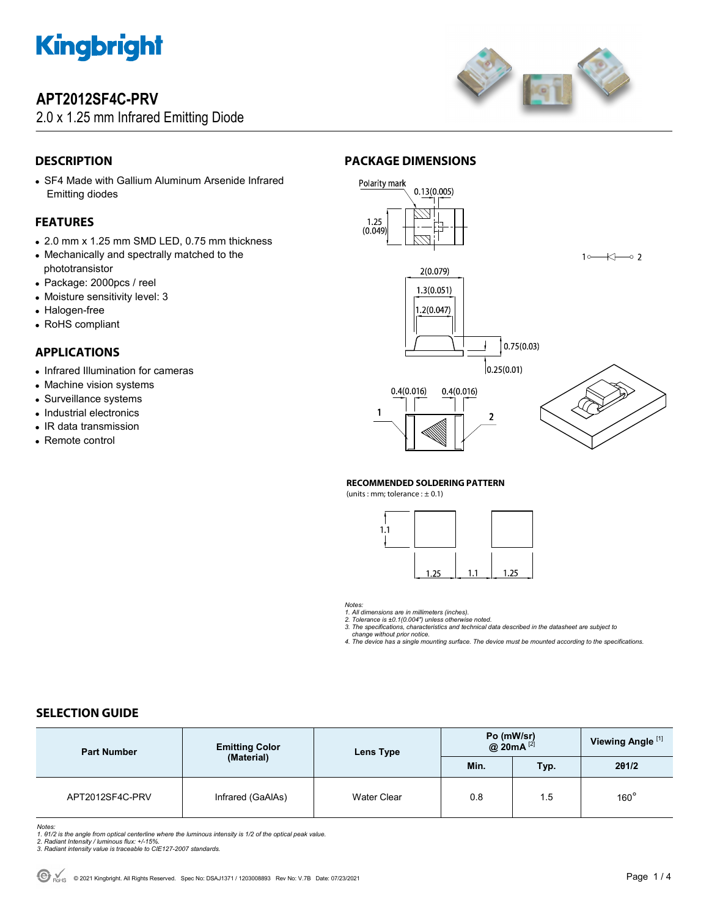

# **APT2012SF4C-PRV**

## 2.0 x 1.25 mm Infrared Emitting Diode



## **DESCRIPTION**

• SF4 Made with Gallium Aluminum Arsenide Infrared Emitting diodes

### **FEATURES**

- 2.0 mm x 1.25 mm SMD LED, 0.75 mm thickness
- Mechanically and spectrally matched to the phototransistor
- Package: 2000pcs / reel
- Moisture sensitivity level: 3
- Halogen-free
- RoHS compliant

### **APPLICATIONS**

- Infrared Illumination for cameras
- Machine vision systems
- Surveillance systems
- Industrial electronics
- IR data transmission
- Remote control

## **PACKAGE DIMENSIONS**



#### **RECOMMENDED SOLDERING PATTERN**

(units : mm; tolerance :  $\pm$  0.1)



*Notes:* 

1. All dimensions are in millimeters (inches).<br>2. Tolerance is ±0.1(0.004") unless otherwise noted.<br>3. The specifications, characteristics and technical data described in the datasheet are subject to

 *change without prior notice. 4. The device has a single mounting surface. The device must be mounted according to the specifications.* 

### **SELECTION GUIDE**

| <b>Part Number</b> | <b>Emitting Color</b><br>(Material) | Lens Type          | Po (mW/sr)<br>@ 20mA $^{[2]}$ |      | Viewing Angle <sup>[1]</sup> |
|--------------------|-------------------------------------|--------------------|-------------------------------|------|------------------------------|
|                    |                                     |                    | Min.                          | Typ. | 201/2                        |
| APT2012SF4C-PRV    | Infrared (GaAlAs)                   | <b>Water Clear</b> | 0.8                           | 1.5  | $160^\circ$                  |

- 
- 

Notes:<br>1. 61/2 is the angle from optical centerline where the luminous intensity is 1/2 of the optical peak value.<br>2. Radiant Intensity / luminous flux: +/-15%.<br>3. Radiant intensity value is traceable to CIE127-2007 standa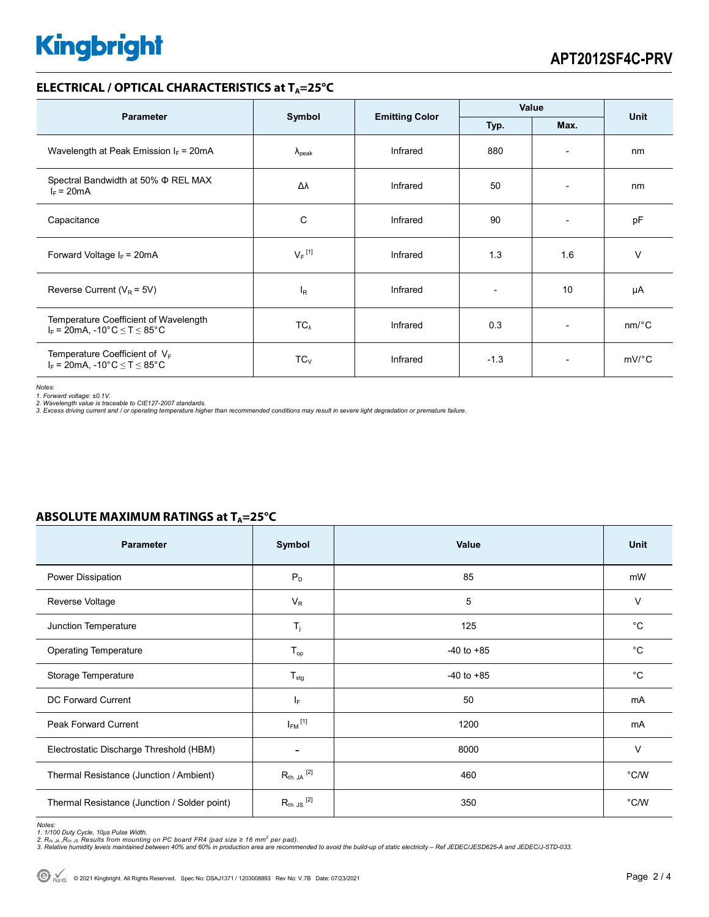# **Kingbright**

### **ELECTRICAL / OPTICAL CHARACTERISTICS at T<sub>A</sub>=25°C**

| <b>Parameter</b>                                                                 | Symbol               | <b>Emitting Color</b> | Value                        |                          | <b>Unit</b>           |
|----------------------------------------------------------------------------------|----------------------|-----------------------|------------------------------|--------------------------|-----------------------|
|                                                                                  | Typ.<br>Max.         |                       |                              |                          |                       |
| Wavelength at Peak Emission $I_F$ = 20mA                                         | $\lambda_{\rm peak}$ | Infrared              | 880                          | $\overline{\phantom{a}}$ | nm                    |
| Spectral Bandwidth at 50% $\Phi$ REL MAX<br>$I_F = 20mA$                         | Δλ                   | Infrared              | 50                           | $\overline{\phantom{a}}$ | nm                    |
| Capacitance                                                                      | C                    | Infrared              | 90                           | $\overline{\phantom{0}}$ | pF                    |
| Forward Voltage $I_F$ = 20mA                                                     | $V_F$ <sup>[1]</sup> | Infrared              | 1.3                          | 1.6                      | $\vee$                |
| Reverse Current ( $V_R$ = 5V)                                                    | $I_R$                | Infrared              | $\qquad \qquad \blacksquare$ | 10                       | μA                    |
| Temperature Coefficient of Wavelength<br>$I_F$ = 20mA, -10°C $\leq T \leq 85$ °C | $TC_{\lambda}$       | Infrared              | 0.3                          | $\overline{\phantom{a}}$ | $nm$ <sup>o</sup> $C$ |
| Temperature Coefficient of $V_F$<br>$I_F = 20$ mA, -10°C $\le T \le 85$ °C       | $TC_V$               | Infrared              | $-1.3$                       | $\overline{\phantom{a}}$ | mV/°C                 |

*Notes:* 

1. Forward voltage: ±0.1V.<br>2. Wavelength value is traceable to CIE127-2007 standards.<br>3. Excess driving current and / or operating temperature higher than recommended conditions may result in severe light degradation or pr

| Parameter                                    | Symbol                  | Value          | Unit        |
|----------------------------------------------|-------------------------|----------------|-------------|
| Power Dissipation                            | $P_D$                   | 85             | mW          |
| Reverse Voltage                              | $V_R$                   | 5              | $\vee$      |
| Junction Temperature                         | $T_j$                   | 125            | $^{\circ}C$ |
| <b>Operating Temperature</b>                 | $T_{op}$                | $-40$ to $+85$ | $^{\circ}C$ |
| Storage Temperature                          | $T_{\text{stg}}$        | $-40$ to $+85$ | $^{\circ}C$ |
| DC Forward Current                           | IF.                     | 50             | mA          |
| <b>Peak Forward Current</b>                  | $I_{FM}$ <sup>[1]</sup> | 1200           | mA          |
| Electrostatic Discharge Threshold (HBM)      |                         | 8000           | $\vee$      |
| Thermal Resistance (Junction / Ambient)      | $R_{th}$ JA $^{[2]}$    | 460            | °C/W        |
| Thermal Resistance (Junction / Solder point) | $R_{th}$ JS $^{[2]}$    | 350            | °C/W        |

### **ABSOLUTE MAXIMUM RATINGS at T<sub>A</sub>=25°C**

Notes:<br>1. 1/100 Duty Cycle, 10µs Pulse Width.<br>2. R<sub>th JA</sub> ,R<sub>th JS</sub> Results from mounting on PC board FR4 (pad size ≥ 16 mm<sup>2</sup> per pad).<br>3. Relative humidity levels maintained between 40% and 60% in production area are re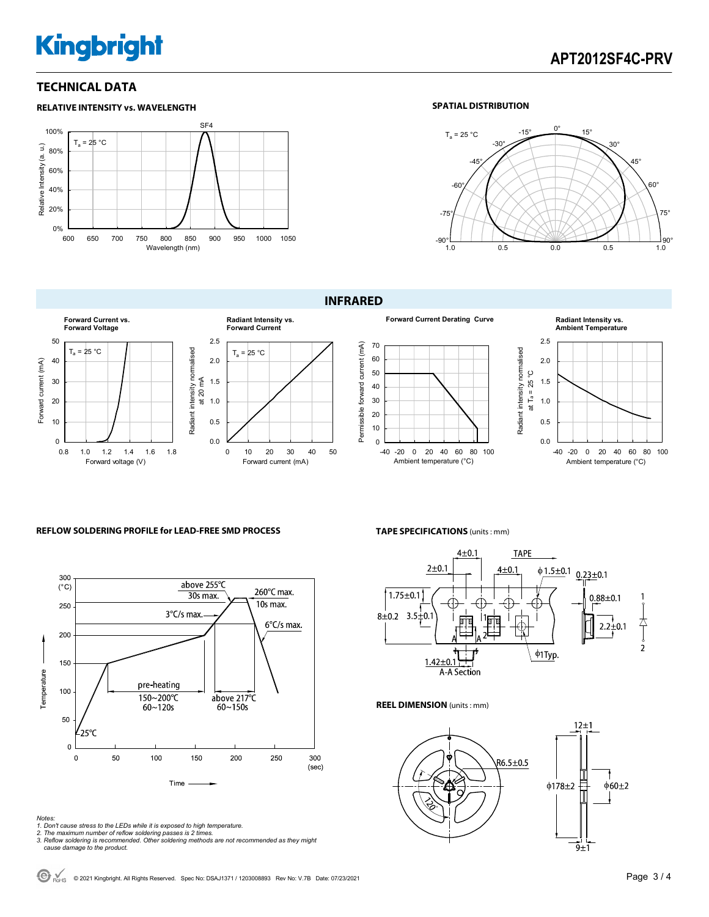# **Kingbright**

# **APT2012SF4C-PRV**

### **TECHNICAL DATA**



### **SPATIAL DISTRIBUTION**



### **INFRARED**









### **REFLOW SOLDERING PROFILE for LEAD-FREE SMD PROCESS**



#### **TAPE SPECIFICATIONS** (units : mm)



#### **REEL DIMENSION** (units : mm)



- 
- 
- Notes:<br>1. Don't cause stress to the LEDs while it is exposed to high temperature.<br>2. The maximum number of reflow soldering passes is 2 times.<br>3. Reflow soldering is recommended. Other soldering methods are not recommended